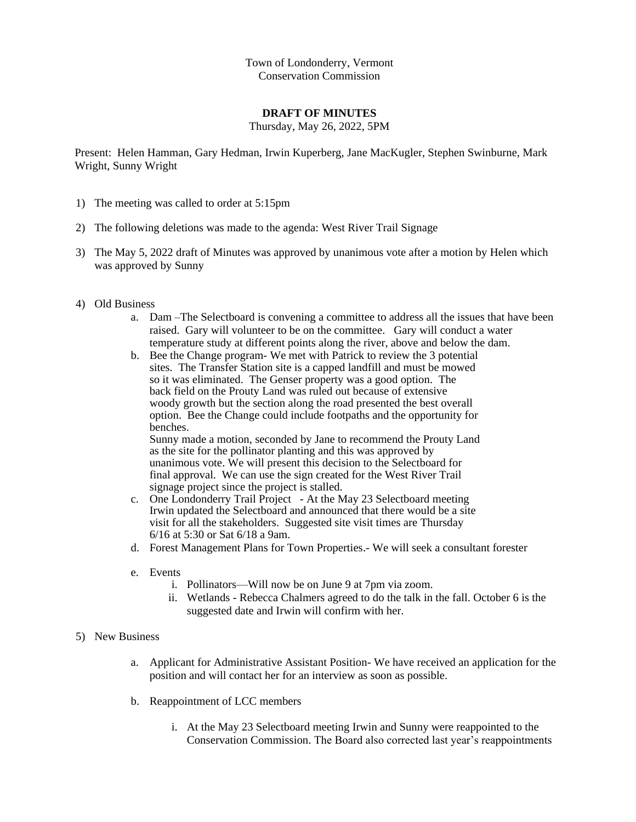Town of Londonderry, Vermont Conservation Commission

## **DRAFT OF MINUTES**

Thursday, May 26, 2022, 5PM

Present: Helen Hamman, Gary Hedman, Irwin Kuperberg, Jane MacKugler, Stephen Swinburne, Mark Wright, Sunny Wright

- 1) The meeting was called to order at 5:15pm
- 2) The following deletions was made to the agenda: West River Trail Signage
- 3) The May 5, 2022 draft of Minutes was approved by unanimous vote after a motion by Helen which was approved by Sunny
- 4) Old Business
	- a. Dam –The Selectboard is convening a committee to address all the issues that have been raised. Gary will volunteer to be on the committee. Gary will conduct a water temperature study at different points along the river, above and below the dam.
	- b. Bee the Change program- We met with Patrick to review the 3 potential sites. The Transfer Station site is a capped landfill and must be mowed so it was eliminated. The Genser property was a good option. The back field on the Prouty Land was ruled out because of extensive woody growth but the section along the road presented the best overall option. Bee the Change could include footpaths and the opportunity for benches. Sunny made a motion, seconded by Jane to recommend the Prouty Land

as the site for the pollinator planting and this was approved by unanimous vote. We will present this decision to the Selectboard for final approval. We can use the sign created for the West River Trail signage project since the project is stalled.

- c. One Londonderry Trail Project At the May 23 Selectboard meeting Irwin updated the Selectboard and announced that there would be a site visit for all the stakeholders. Suggested site visit times are Thursday 6/16 at 5:30 or Sat 6/18 a 9am.
- d. Forest Management Plans for Town Properties.- We will seek a consultant forester
- e. Events
	- i. Pollinators—Will now be on June 9 at 7pm via zoom.
	- ii. Wetlands Rebecca Chalmers agreed to do the talk in the fall. October 6 is the suggested date and Irwin will confirm with her.
- 5) New Business
	- a. Applicant for Administrative Assistant Position- We have received an application for the position and will contact her for an interview as soon as possible.
	- b. Reappointment of LCC members
		- i. At the May 23 Selectboard meeting Irwin and Sunny were reappointed to the Conservation Commission. The Board also corrected last year's reappointments